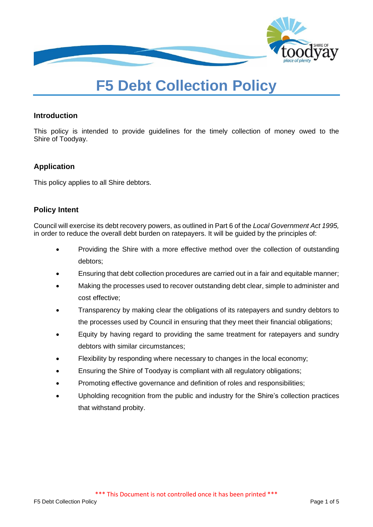

# **F5 Debt Collection Policy**

# **Introduction**

This policy is intended to provide guidelines for the timely collection of money owed to the Shire of Toodyay.

# **Application**

This policy applies to all Shire debtors.

# **Policy Intent**

Council will exercise its debt recovery powers, as outlined in Part 6 of the *Local Government Act 1995,* in order to reduce the overall debt burden on ratepayers. It will be guided by the principles of:

- Providing the Shire with a more effective method over the collection of outstanding debtors;
- Ensuring that debt collection procedures are carried out in a fair and equitable manner;
- Making the processes used to recover outstanding debt clear, simple to administer and cost effective;
- Transparency by making clear the obligations of its ratepayers and sundry debtors to the processes used by Council in ensuring that they meet their financial obligations;
- Equity by having regard to providing the same treatment for ratepayers and sundry debtors with similar circumstances;
- Flexibility by responding where necessary to changes in the local economy;
- Ensuring the Shire of Toodyay is compliant with all regulatory obligations;
- Promoting effective governance and definition of roles and responsibilities;
- Upholding recognition from the public and industry for the Shire's collection practices that withstand probity.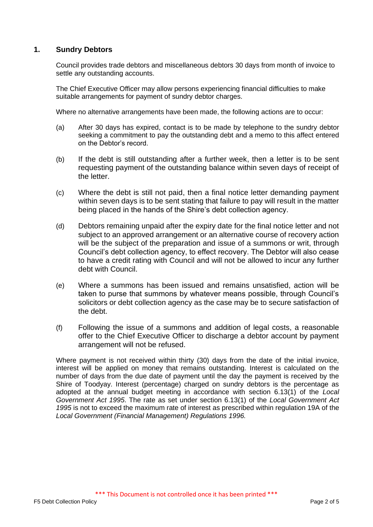# **1. Sundry Debtors**

Council provides trade debtors and miscellaneous debtors 30 days from month of invoice to settle any outstanding accounts.

The Chief Executive Officer may allow persons experiencing financial difficulties to make suitable arrangements for payment of sundry debtor charges.

Where no alternative arrangements have been made, the following actions are to occur:

- (a) After 30 days has expired, contact is to be made by telephone to the sundry debtor seeking a commitment to pay the outstanding debt and a memo to this affect entered on the Debtor's record.
- (b) If the debt is still outstanding after a further week, then a letter is to be sent requesting payment of the outstanding balance within seven days of receipt of the letter.
- (c) Where the debt is still not paid, then a final notice letter demanding payment within seven days is to be sent stating that failure to pay will result in the matter being placed in the hands of the Shire's debt collection agency.
- (d) Debtors remaining unpaid after the expiry date for the final notice letter and not subject to an approved arrangement or an alternative course of recovery action will be the subject of the preparation and issue of a summons or writ, through Council's debt collection agency, to effect recovery. The Debtor will also cease to have a credit rating with Council and will not be allowed to incur any further debt with Council.
- (e) Where a summons has been issued and remains unsatisfied, action will be taken to purse that summons by whatever means possible, through Council's solicitors or debt collection agency as the case may be to secure satisfaction of the debt.
- (f) Following the issue of a summons and addition of legal costs, a reasonable offer to the Chief Executive Officer to discharge a debtor account by payment arrangement will not be refused.

Where payment is not received within thirty (30) days from the date of the initial invoice, interest will be applied on money that remains outstanding. Interest is calculated on the number of days from the due date of payment until the day the payment is received by the Shire of Toodyay. Interest (percentage) charged on sundry debtors is the percentage as adopted at the annual budget meeting in accordance with section 6.13(1) of the *Local Government Act 1995*. The rate as set under section 6.13(1) of the *Local Government Act 1995* is not to exceed the maximum rate of interest as prescribed within regulation 19A of the *Local Government (Financial Management) Regulations 1996.*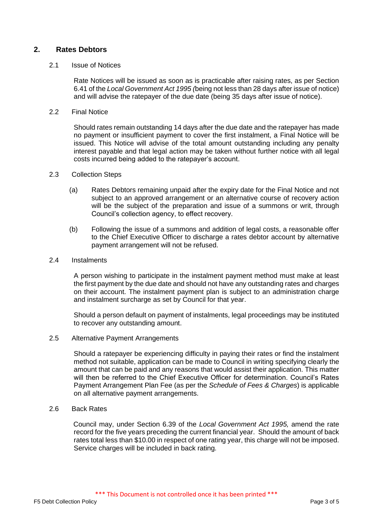# **2. Rates Debtors**

#### 2.1 Issue of Notices

Rate Notices will be issued as soon as is practicable after raising rates, as per Section 6.41 of the *Local Government Act 1995 (*being not less than 28 days after issue of notice) and will advise the ratepayer of the due date (being 35 days after issue of notice).

2.2 Final Notice

Should rates remain outstanding 14 days after the due date and the ratepayer has made no payment or insufficient payment to cover the first instalment, a Final Notice will be issued. This Notice will advise of the total amount outstanding including any penalty interest payable and that legal action may be taken without further notice with all legal costs incurred being added to the ratepayer's account.

#### 2.3 Collection Steps

- (a) Rates Debtors remaining unpaid after the expiry date for the Final Notice and not subject to an approved arrangement or an alternative course of recovery action will be the subject of the preparation and issue of a summons or writ, through Council's collection agency, to effect recovery.
- (b) Following the issue of a summons and addition of legal costs, a reasonable offer to the Chief Executive Officer to discharge a rates debtor account by alternative payment arrangement will not be refused.

#### 2.4 Instalments

A person wishing to participate in the instalment payment method must make at least the first payment by the due date and should not have any outstanding rates and charges on their account. The instalment payment plan is subject to an administration charge and instalment surcharge as set by Council for that year.

Should a person default on payment of instalments, legal proceedings may be instituted to recover any outstanding amount.

2.5 Alternative Payment Arrangements

Should a ratepayer be experiencing difficulty in paying their rates or find the instalment method not suitable, application can be made to Council in writing specifying clearly the amount that can be paid and any reasons that would assist their application. This matter will then be referred to the Chief Executive Officer for determination. Council's Rates Payment Arrangement Plan Fee (as per the *Schedule of Fees & Charges*) is applicable on all alternative payment arrangements.

2.6 Back Rates

Council may, under Section 6.39 of the *Local Government Act 1995,* amend the rate record for the five years preceding the current financial year. Should the amount of back rates total less than \$10.00 in respect of one rating year, this charge will not be imposed. Service charges will be included in back rating.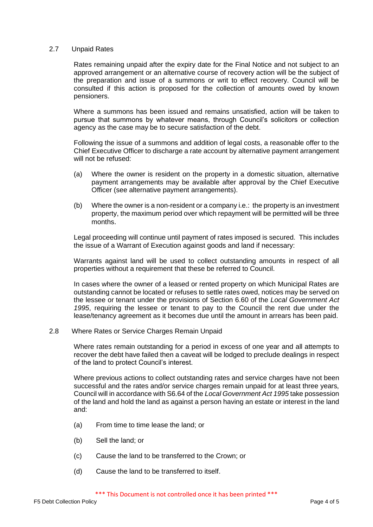#### 2.7 Unpaid Rates

Rates remaining unpaid after the expiry date for the Final Notice and not subject to an approved arrangement or an alternative course of recovery action will be the subject of the preparation and issue of a summons or writ to effect recovery. Council will be consulted if this action is proposed for the collection of amounts owed by known pensioners.

Where a summons has been issued and remains unsatisfied, action will be taken to pursue that summons by whatever means, through Council's solicitors or collection agency as the case may be to secure satisfaction of the debt.

Following the issue of a summons and addition of legal costs, a reasonable offer to the Chief Executive Officer to discharge a rate account by alternative payment arrangement will not be refused:

- (a) Where the owner is resident on the property in a domestic situation, alternative payment arrangements may be available after approval by the Chief Executive Officer (see alternative payment arrangements).
- (b) Where the owner is a non-resident or a company i.e.: the property is an investment property, the maximum period over which repayment will be permitted will be three months.

Legal proceeding will continue until payment of rates imposed is secured. This includes the issue of a Warrant of Execution against goods and land if necessary:

Warrants against land will be used to collect outstanding amounts in respect of all properties without a requirement that these be referred to Council.

In cases where the owner of a leased or rented property on which Municipal Rates are outstanding cannot be located or refuses to settle rates owed, notices may be served on the lessee or tenant under the provisions of Section 6.60 of the *Local Government Act 1995*, requiring the lessee or tenant to pay to the Council the rent due under the lease/tenancy agreement as it becomes due until the amount in arrears has been paid.

2.8 Where Rates or Service Charges Remain Unpaid

Where rates remain outstanding for a period in excess of one year and all attempts to recover the debt have failed then a caveat will be lodged to preclude dealings in respect of the land to protect Council's interest.

Where previous actions to collect outstanding rates and service charges have not been successful and the rates and/or service charges remain unpaid for at least three years, Council will in accordance with S6.64 of the *Local Government Act 1995* take possession of the land and hold the land as against a person having an estate or interest in the land and:

- (a) From time to time lease the land; or
- (b) Sell the land; or
- (c) Cause the land to be transferred to the Crown; or
- (d) Cause the land to be transferred to itself.